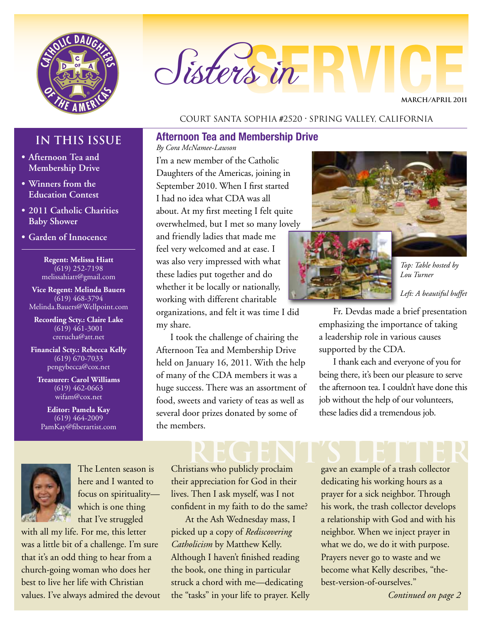

# Sisters in

**MARCH/APRIL 2011**

#### Court Santa Sophia #2520 • Spring Valley, California

#### **Afternoon Tea and Membership Drive**

*By Cora McNamee-Lawson*

I'm a new member of the Catholic Daughters of the Americas, joining in September 2010. When I first started I had no idea what CDA was all about. At my first meeting I felt quite overwhelmed, but I met so many lovely and friendly ladies that made me feel very welcomed and at ease. I was also very impressed with what these ladies put together and do whether it be locally or nationally, working with different charitable organizations, and felt it was time I did my share.

I took the challenge of chairing the Afternoon Tea and Membership Drive held on January 16, 2011. With the help of many of the CDA members it was a huge success. There was an assortment of food, sweets and variety of teas as well as several door prizes donated by some of the members.



*Left: A beautiful buffet*

Fr. Devdas made a brief presentation emphasizing the importance of taking a leadership role in various causes supported by the CDA.

I thank each and everyone of you for being there, it's been our pleasure to serve the afternoon tea. I couldn't have done this job without the help of our volunteers, these ladies did a tremendous job.

#### **IN THIS ISSUE**

- **• Afternoon Tea and Membership Drive**
- **• Winners from the Education Contest**
- **• 2011 Catholic Charities Baby Shower**
- **• Garden of Innocence**

**Regent: Melissa Hiatt** (619) 252-7198 melissahiatt@gmail.com

**Vice Regent: Melinda Bauers** (619) 468-3794 Melinda.Bauers@Wellpoint.com

**Recording Scty.: Claire Lake** (619) 461-3001 crerucha@att.net

**Financial Scty.: Rebecca Kelly** (619) 670-7033 pengybecca@cox.net

**Treasurer: Carol Williams** (619) 462-0663 wifam@cox.net

**Editor: Pamela Kay** (619) 464-2009 PamKay@fiberartist.com



The Lenten season is here and I wanted to focus on spirituality which is one thing that I've struggled

with all my life. For me, this letter was a little bit of a challenge. I'm sure that it's an odd thing to hear from a church-going woman who does her best to live her life with Christian values. I've always admired the devout

## **REGENT's LETTER**

Christians who publicly proclaim their appreciation for God in their lives. Then I ask myself, was I not confident in my faith to do the same?

At the Ash Wednesday mass, I picked up a copy of *Rediscovering Catholicism* by Matthew Kelly. Although I haven't finished reading the book, one thing in particular struck a chord with me—dedicating the "tasks" in your life to prayer. Kelly gave an example of a trash collector dedicating his working hours as a prayer for a sick neighbor. Through his work, the trash collector develops a relationship with God and with his neighbor. When we inject prayer in what we do, we do it with purpose. Prayers never go to waste and we become what Kelly describes, "thebest-version-of-ourselves."

*Continued on page 2*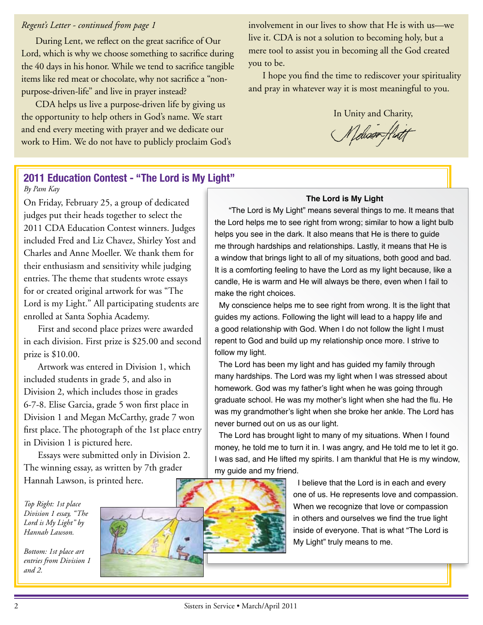#### *Regent's Letter - continued from page 1*

During Lent, we reflect on the great sacrifice of Our Lord, which is why we choose something to sacrifice during the 40 days in his honor. While we tend to sacrifice tangible items like red meat or chocolate, why not sacrifice a "nonpurpose-driven-life" and live in prayer instead?

CDA helps us live a purpose-driven life by giving us the opportunity to help others in God's name. We start and end every meeting with prayer and we dedicate our work to Him. We do not have to publicly proclaim God's involvement in our lives to show that He is with us—we live it. CDA is not a solution to becoming holy, but a mere tool to assist you in becoming all the God created you to be.

I hope you find the time to rediscover your spirituality and pray in whatever way it is most meaningful to you.

In Unity and Charity,

Meliosoffurt

#### **2011 Education Contest - "The Lord is My Light"**

*By Pam Kay*

On Friday, February 25, a group of dedicated judges put their heads together to select the 2011 CDA Education Contest winners. Judges included Fred and Liz Chavez, Shirley Yost and Charles and Anne Moeller. We thank them for their enthusiasm and sensitivity while judging entries. The theme that students wrote essays for or created original artwork for was "The Lord is my Light." All participating students are enrolled at Santa Sophia Academy.

First and second place prizes were awarded in each division. First prize is \$25.00 and second prize is \$10.00.

Artwork was entered in Division 1, which included students in grade 5, and also in Division 2, which includes those in grades 6-7-8. Elise Garcia, grade 5 won first place in Division 1 and Megan McCarthy, grade 7 won first place. The photograph of the 1st place entry in Division 1 is pictured here.

Essays were submitted only in Division 2. The winning essay, as written by 7th grader Hannah Lawson, is printed here.

*Top Right: 1st place Division 1 essay, "The Lord is My Light" by Hannah Lawson.*

*Bottom: 1st place art entries from Division 1 and 2.*



#### **The Lord is My Light**

"The Lord is My Light" means several things to me. It means that the Lord helps me to see right from wrong; similar to how a light bulb helps you see in the dark. It also means that He is there to guide me through hardships and relationships. Lastly, it means that He is a window that brings light to all of my situations, both good and bad. It is a comforting feeling to have the Lord as my light because, like a candle, He is warm and He will always be there, even when I fail to make the right choices.

 My conscience helps me to see right from wrong. It is the light that guides my actions. Following the light will lead to a happy life and a good relationship with God. When I do not follow the light I must repent to God and build up my relationship once more. I strive to follow my light.

 The Lord has been my light and has guided my family through many hardships. The Lord was my light when I was stressed about homework. God was my father's light when he was going through graduate school. He was my mother's light when she had the flu. He was my grandmother's light when she broke her ankle. The Lord has never burned out on us as our light.

 The Lord has brought light to many of my situations. When I found money, he told me to turn it in. I was angry, and He told me to let it go. I was sad, and He lifted my spirits. I am thankful that He is my window, my guide and my friend.

> I believe that the Lord is in each and every one of us. He represents love and compassion. When we recognize that love or compassion in others and ourselves we find the true light inside of everyone. That is what "The Lord is My Light" truly means to me.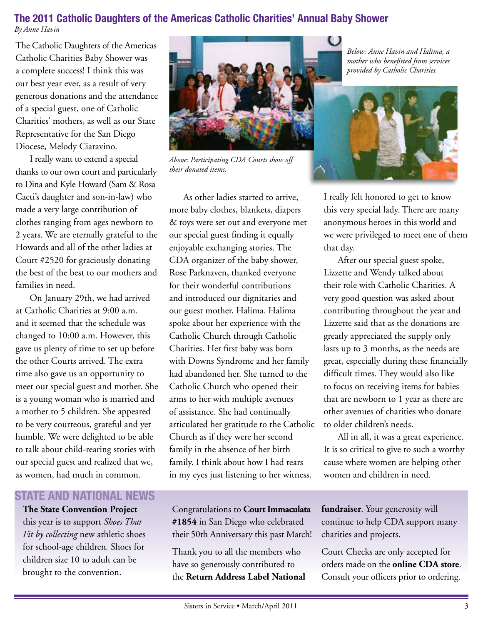### **The 2011 Catholic Daughters of the Americas Catholic Charities' Annual Baby Shower**

*By Anne Havin*

The Catholic Daughters of the Americas Catholic Charities Baby Shower was a complete success! I think this was our best year ever, as a result of very generous donations and the attendance of a special guest, one of Catholic Charities' mothers, as well as our State Representative for the San Diego Diocese, Melody Ciaravino.

I really want to extend a special thanks to our own court and particularly to Dina and Kyle Howard (Sam & Rosa Caeti's daughter and son-in-law) who made a very large contribution of clothes ranging from ages newborn to 2 years. We are eternally grateful to the Howards and all of the other ladies at Court #2520 for graciously donating the best of the best to our mothers and families in need.

On January 29th, we had arrived at Catholic Charities at 9:00 a.m. and it seemed that the schedule was changed to 10:00 a.m. However, this gave us plenty of time to set up before the other Courts arrived. The extra time also gave us an opportunity to meet our special guest and mother. She is a young woman who is married and a mother to 5 children. She appeared to be very courteous, grateful and yet humble. We were delighted to be able to talk about child-rearing stories with our special guest and realized that we, as women, had much in common.

#### **STATE AND NATIONAL NEWS**

#### **The State Convention Project**

this year is to support *Shoes That Fit by collecting* new athletic shoes for school-age children*.* Shoes for children size 10 to adult can be brought to the convention.



*Above: Participating CDA Courts show off their donated items.*

As other ladies started to arrive, more baby clothes, blankets, diapers & toys were set out and everyone met our special guest finding it equally enjoyable exchanging stories. The CDA organizer of the baby shower, Rose Parknaven, thanked everyone for their wonderful contributions and introduced our dignitaries and our guest mother, Halima. Halima spoke about her experience with the Catholic Church through Catholic Charities. Her first baby was born with Downs Syndrome and her family had abandoned her. She turned to the Catholic Church who opened their arms to her with multiple avenues of assistance. She had continually articulated her gratitude to the Catholic Church as if they were her second family in the absence of her birth family. I think about how I had tears in my eyes just listening to her witness.

Congratulations to **Court Immaculata #1854** in San Diego who celebrated their 50th Anniversary this past March!

Thank you to all the members who have so generously contributed to the **Return Address Label National** 

*Below: Anne Havin and Halima, a mother who benefitted from services provided by Catholic Charities.*



I really felt honored to get to know this very special lady. There are many anonymous heroes in this world and we were privileged to meet one of them that day.

After our special guest spoke, Lizzette and Wendy talked about their role with Catholic Charities. A very good question was asked about contributing throughout the year and Lizzette said that as the donations are greatly appreciated the supply only lasts up to 3 months, as the needs are great, especially during these financially difficult times. They would also like to focus on receiving items for babies that are newborn to 1 year as there are other avenues of charities who donate to older children's needs.

All in all, it was a great experience. It is so critical to give to such a worthy cause where women are helping other women and children in need.

**fundraiser**. Your generosity will continue to help CDA support many charities and projects.

Court Checks are only accepted for orders made on the **online CDA store**. Consult your officers prior to ordering.